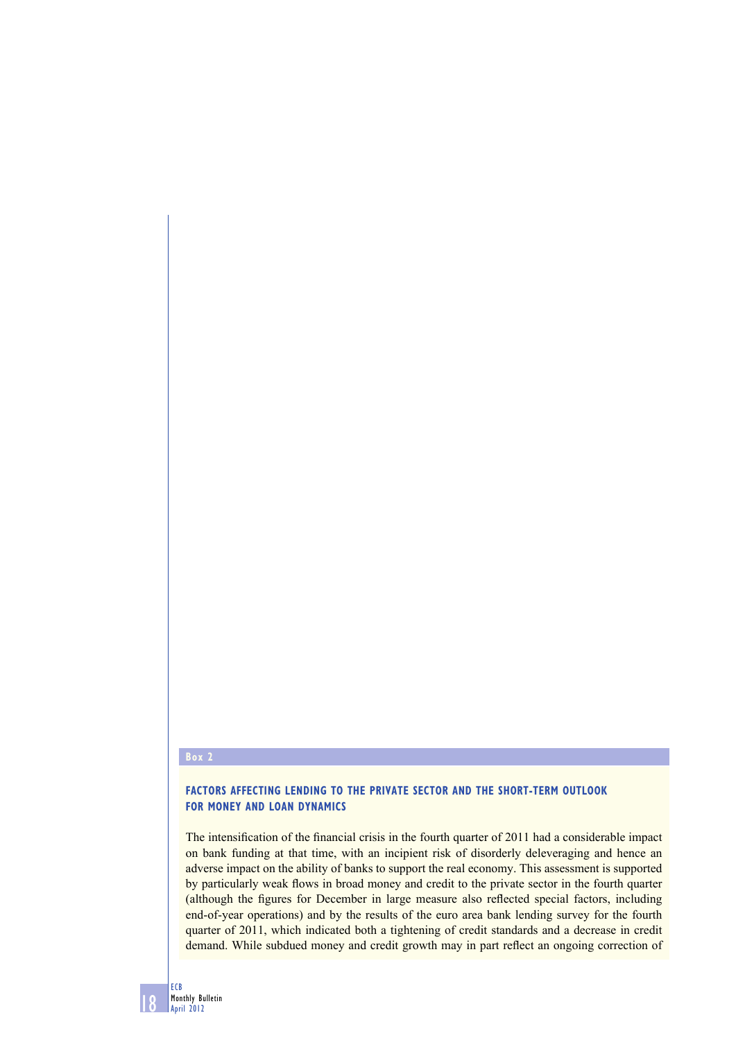#### **Box 2**

## **FACTORS AFFECTING LENDING TO THE PRIVATE SECTOR AND THE SHORT-TERM OUTLOOK FOR MONEY AND LOAN DYNAMICS**

The intensification of the financial crisis in the fourth quarter of 2011 had a considerable impact on bank funding at that time, with an incipient risk of disorderly deleveraging and hence an adverse impact on the ability of banks to support the real economy. This assessment is supported by particularly weak flows in broad money and credit to the private sector in the fourth quarter (although the figures for December in large measure also reflected special factors, including end-of-year operations) and by the results of the euro area bank lending survey for the fourth quarter of 2011, which indicated both a tightening of credit standards and a decrease in credit demand. While subdued money and credit growth may in part reflect an ongoing correction of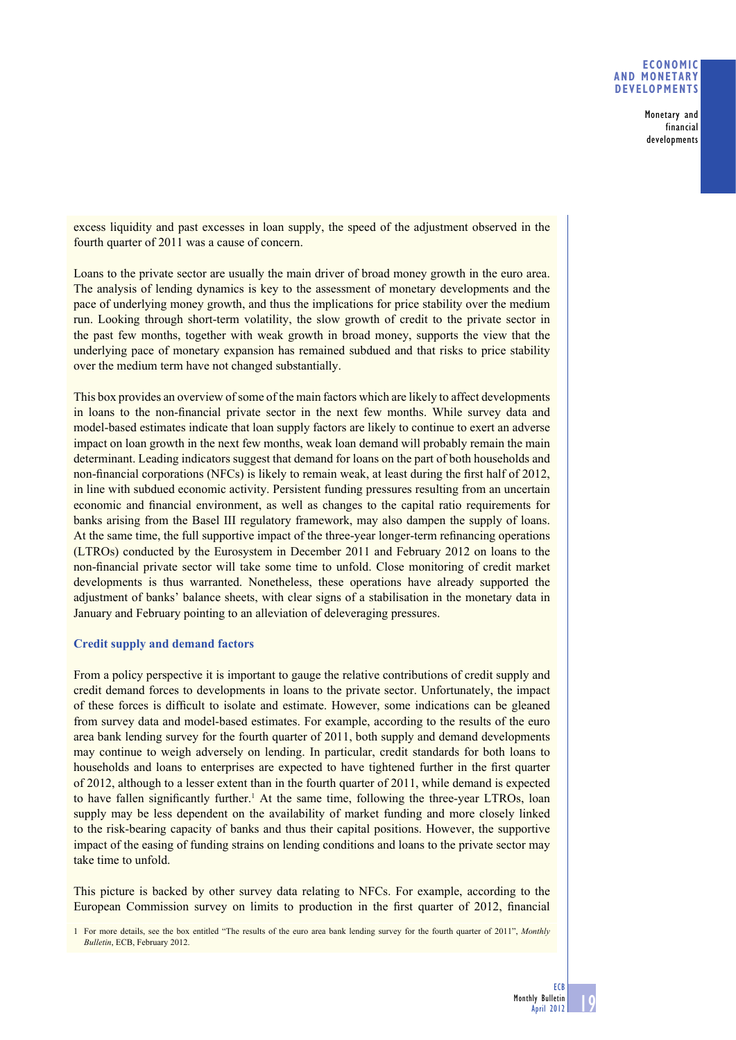### **ECONOMIC AND MONETARY DEVELOPMENTS**

**Monetary and financial developments**

excess liquidity and past excesses in loan supply, the speed of the adjustment observed in the fourth quarter of 2011 was a cause of concern.

Loans to the private sector are usually the main driver of broad money growth in the euro area. The analysis of lending dynamics is key to the assessment of monetary developments and the pace of underlying money growth, and thus the implications for price stability over the medium run. Looking through short-term volatility, the slow growth of credit to the private sector in the past few months, together with weak growth in broad money, supports the view that the underlying pace of monetary expansion has remained subdued and that risks to price stability over the medium term have not changed substantially.

This box provides an overview of some of the main factors which are likely to affect developments in loans to the non-financial private sector in the next few months. While survey data and model-based estimates indicate that loan supply factors are likely to continue to exert an adverse impact on loan growth in the next few months, weak loan demand will probably remain the main determinant. Leading indicators suggest that demand for loans on the part of both households and non-financial corporations (NFCs) is likely to remain weak, at least during the first half of 2012, in line with subdued economic activity. Persistent funding pressures resulting from an uncertain economic and financial environment, as well as changes to the capital ratio requirements for banks arising from the Basel III regulatory framework, may also dampen the supply of loans. At the same time, the full supportive impact of the three-year longer-term refinancing operations (LTROs) conducted by the Eurosystem in December 2011 and February 2012 on loans to the non-financial private sector will take some time to unfold. Close monitoring of credit market developments is thus warranted. Nonetheless, these operations have already supported the adjustment of banks' balance sheets, with clear signs of a stabilisation in the monetary data in January and February pointing to an alleviation of deleveraging pressures.

### **Credit supply and demand factors**

From a policy perspective it is important to gauge the relative contributions of credit supply and credit demand forces to developments in loans to the private sector. Unfortunately, the impact of these forces is difficult to isolate and estimate. However, some indications can be gleaned from survey data and model-based estimates. For example, according to the results of the euro area bank lending survey for the fourth quarter of 2011, both supply and demand developments may continue to weigh adversely on lending. In particular, credit standards for both loans to households and loans to enterprises are expected to have tightened further in the first quarter of 2012, although to a lesser extent than in the fourth quarter of 2011, while demand is expected to have fallen significantly further.<sup>1</sup> At the same time, following the three-year LTROs, loan supply may be less dependent on the availability of market funding and more closely linked to the risk-bearing capacity of banks and thus their capital positions. However, the supportive impact of the easing of funding strains on lending conditions and loans to the private sector may take time to unfold.

This picture is backed by other survey data relating to NFCs. For example, according to the European Commission survey on limits to production in the first quarter of 2012, financial

1 For more details, see the box entitled "The results of the euro area bank lending survey for the fourth quarter of 2011", *Monthly Bulletin*, ECB, February 2012.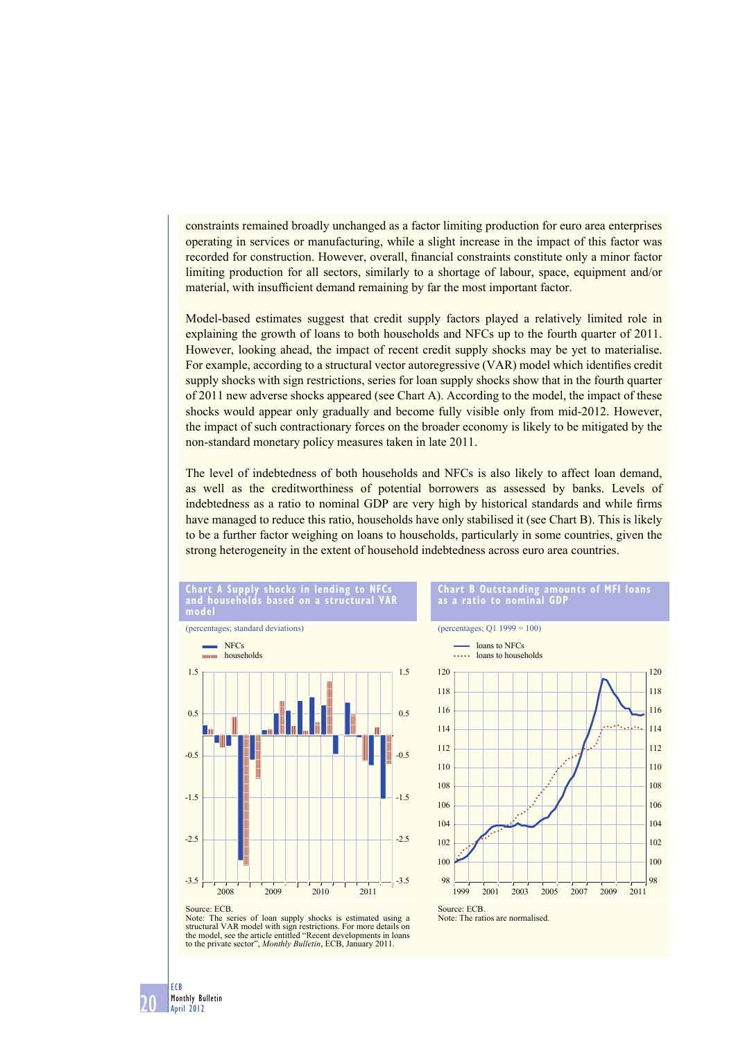constraints remained broadly unchanged as a factor limiting production for euro area enterprises operating in services or manufacturing, while a slight increase in the impact of this factor was recorded for construction. However, overall, financial constraints constitute only a minor factor limiting production for all sectors, similarly to a shortage of labour, space, equipment and/or material, with insufficient demand remaining by far the most important factor.

Model-based estimates suggest that credit supply factors played a relatively limited role in explaining the growth of loans to both households and NFCs up to the fourth quarter of 2011. However, looking ahead, the impact of recent credit supply shocks may be yet to materialise. For example, according to a structural vector autoregressive (VAR) model which identifies credit supply shocks with sign restrictions, series for loan supply shocks show that in the fourth quarter of 2011 new adverse shocks appeared (see Chart A). According to the model, the impact of these shocks would appear only gradually and become fully visible only from mid-2012. However, the impact of such contractionary forces on the broader economy is likely to be mitigated by the non-standard monetary policy measures taken in late 2011.

The level of indebtedness of both households and NFCs is also likely to affect loan demand, as well as the creditworthiness of potential borrowers as assessed by banks. Levels of indebtedness as a ratio to nominal GDP are very high by historical standards and while firms have managed to reduce this ratio, households have only stabilised it (see Chart B). This is likely to be a further factor weighing on loans to households, particularly in some countries, given the strong heterogeneity in the extent of household indebtedness across euro area countries.



structural VAR model with sign restrictions. For more details on the model, see the article entitled "Recent developments in loans to the private sector", *Monthly Bulletin*, ECB, January 2011.

**20 Monthly Bulletin April 2012**

**ECB**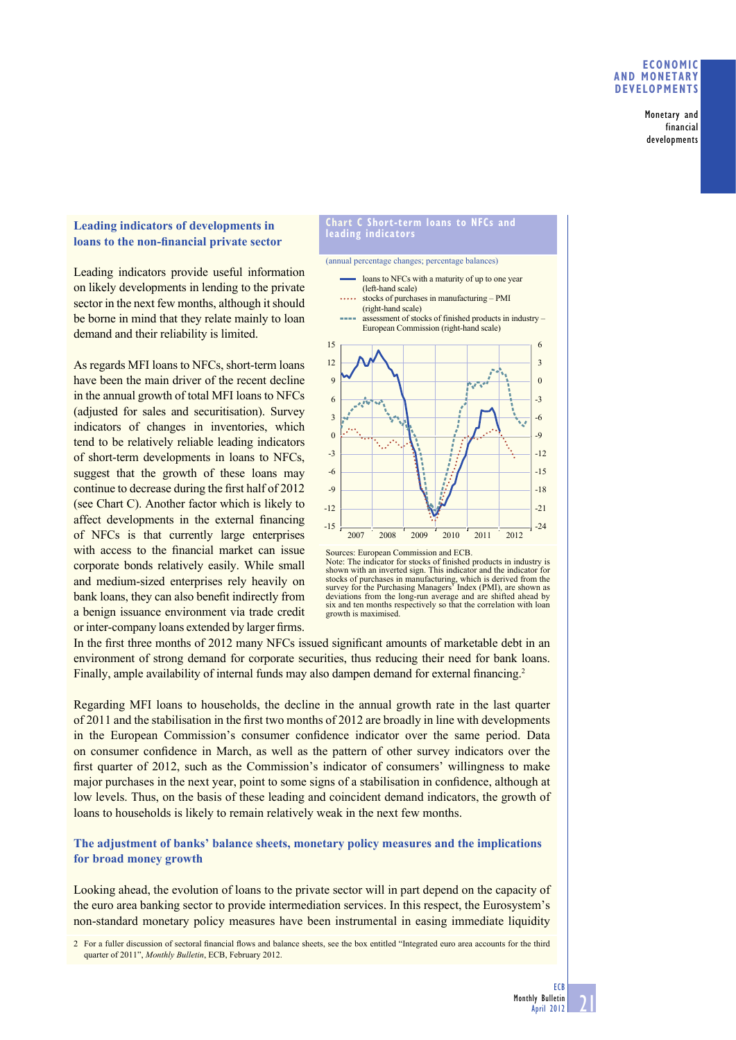### **ECONOMIC AND MONETARY DEVELOPMENTS**

**Monetary and financial developments**

## **Leading indicators of developments in**  loans to the non-financial private sector

Leading indicators provide useful information on likely developments in lending to the private sector in the next few months, although it should be borne in mind that they relate mainly to loan demand and their reliability is limited.

As regards MFI loans to NFCs, short-term loans have been the main driver of the recent decline in the annual growth of total MFI loans to NFCs (adjusted for sales and securitisation). Survey indicators of changes in inventories, which tend to be relatively reliable leading indicators of short-term developments in loans to NFCs, suggest that the growth of these loans may continue to decrease during the first half of 2012 (see Chart C). Another factor which is likely to affect developments in the external financing of NFCs is that currently large enterprises with access to the financial market can issue corporate bonds relatively easily. While small and medium-sized enterprises rely heavily on bank loans, they can also benefit indirectly from a benign issuance environment via trade credit or inter-company loans extended by larger firms.

#### **Chart C Short-term loans to NFCs and leading indicators**



Note: The indicator for stocks of finished products in industry is shown with an inverted sign. This indicator and the indicator for stocks of purchases in manufacturing, which is derived from the survey for the Purchasing Managers' Index (PMI), are shown as deviations from the long-run average and are shifted ahead by six and ten months respectively so that the correlation with loan growth is maximised.

In the first three months of 2012 many NFCs issued significant amounts of marketable debt in an environment of strong demand for corporate securities, thus reducing their need for bank loans. Finally, ample availability of internal funds may also dampen demand for external financing.<sup>2</sup>

Regarding MFI loans to households, the decline in the annual growth rate in the last quarter of 2011 and the stabilisation in the first two months of 2012 are broadly in line with developments in the European Commission's consumer confidence indicator over the same period. Data on consumer confidence in March, as well as the pattern of other survey indicators over the first quarter of 2012, such as the Commission's indicator of consumers' willingness to make major purchases in the next year, point to some signs of a stabilisation in confidence, although at low levels. Thus, on the basis of these leading and coincident demand indicators, the growth of loans to households is likely to remain relatively weak in the next few months.

# **The adjustment of banks' balance sheets, monetary policy measures and the implications for broad money growth**

Looking ahead, the evolution of loans to the private sector will in part depend on the capacity of the euro area banking sector to provide intermediation services. In this respect, the Eurosystem's non-standard monetary policy measures have been instrumental in easing immediate liquidity

2 For a fuller discussion of sectoral financial flows and balance sheets, see the box entitled "Integrated euro area accounts for the third quarter of 2011", *Monthly Bulletin*, ECB, February 2012.